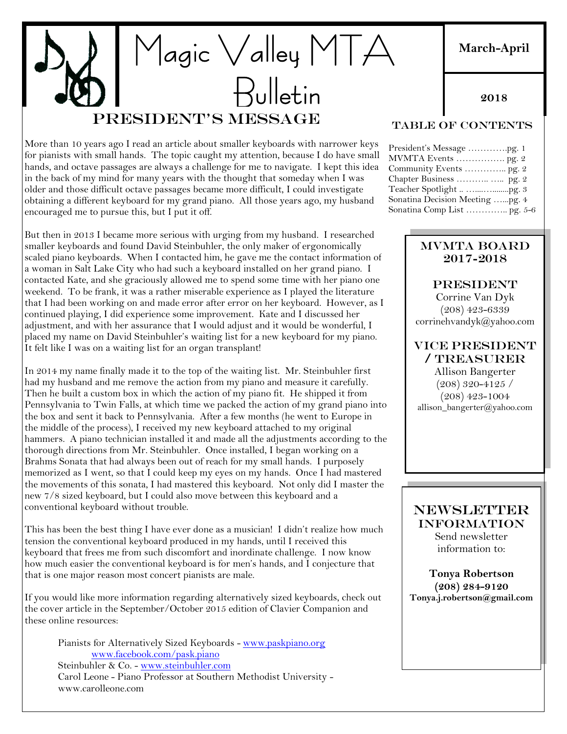# Magic Valley MTA Bulletin President's Message

More than 10 years ago I read an article about smaller keyboards with narrower keys for pianists with small hands. The topic caught my attention, because I do have small hands, and octave passages are always a challenge for me to navigate. I kept this idea in the back of my mind for many years with the thought that someday when I was older and those difficult octave passages became more difficult, I could investigate obtaining a different keyboard for my grand piano. All those years ago, my husband encouraged me to pursue this, but I put it off.

But then in 2013 I became more serious with urging from my husband. I researched smaller keyboards and found David Steinbuhler, the only maker of ergonomically scaled piano keyboards. When I contacted him, he gave me the contact information of a woman in Salt Lake City who had such a keyboard installed on her grand piano. I contacted Kate, and she graciously allowed me to spend some time with her piano one weekend. To be frank, it was a rather miserable experience as I played the literature that I had been working on and made error after error on her keyboard. However, as I continued playing, I did experience some improvement. Kate and I discussed her adjustment, and with her assurance that I would adjust and it would be wonderful, I placed my name on David Steinbuhler's waiting list for a new keyboard for my piano. It felt like I was on a waiting list for an organ transplant!

In 2014 my name finally made it to the top of the waiting list. Mr. Steinbuhler first had my husband and me remove the action from my piano and measure it carefully. Then he built a custom box in which the action of my piano fit. He shipped it from Pennsylvania to Twin Falls, at which time we packed the action of my grand piano into the box and sent it back to Pennsylvania. After a few months (he went to Europe in the middle of the process), I received my new keyboard attached to my original hammers. A piano technician installed it and made all the adjustments according to the thorough directions from Mr. Steinbuhler. Once installed, I began working on a Brahms Sonata that had always been out of reach for my small hands. I purposely memorized as I went, so that I could keep my eyes on my hands. Once I had mastered the movements of this sonata, I had mastered this keyboard. Not only did I master the new 7/8 sized keyboard, but I could also move between this keyboard and a conventional keyboard without trouble.

This has been the best thing I have ever done as a musician! I didn't realize how much tension the conventional keyboard produced in my hands, until I received this keyboard that frees me from such discomfort and inordinate challenge. I now know how much easier the conventional keyboard is for men's hands, and I conjecture that that is one major reason most concert pianists are male.

If you would like more information regarding alternatively sized keyboards, check out the cover article in the September/October 2015 edition of Clavier Companion and these online resources:

Pianists for Alternatively Sized Keyboards - [www.paskpiano.org](http://www.paskpiano.org/) [www.facebook.com/pask.piano](http://www.facebook.com/pask.piano) Steinbuhler & Co. - [www.steinbuhler.com](http://www.steinbuhler.com/) Carol Leone - Piano Professor at Southern Methodist University www.carolleone.com

# Table of Contents

| President's Message pg. 1       |
|---------------------------------|
| MVMTA Events  pg. 2             |
| Community Events  pg. 2         |
|                                 |
|                                 |
| Sonatina Decision Meeting pg. 4 |
| Sonatina Comp List  pg. 5-6     |

#### MVMTA Board 2017-2018

**PRESIDENT** Corrine Van Dyk (208) 423-6339 corrinehvandyk@yahoo.com

#### VICE PRESIDENT / Treasurer

Allison Bangerter (208) 320-4125 / (208) 423-1004 allison\_bangerter@yahoo.com

## NEWSLETTER INFORMATION

Send newsletter information to:

**Tonya Robertson (208) 284-9120 Tonya.j.robertson@gmail.com**

# **March-April**

**2018**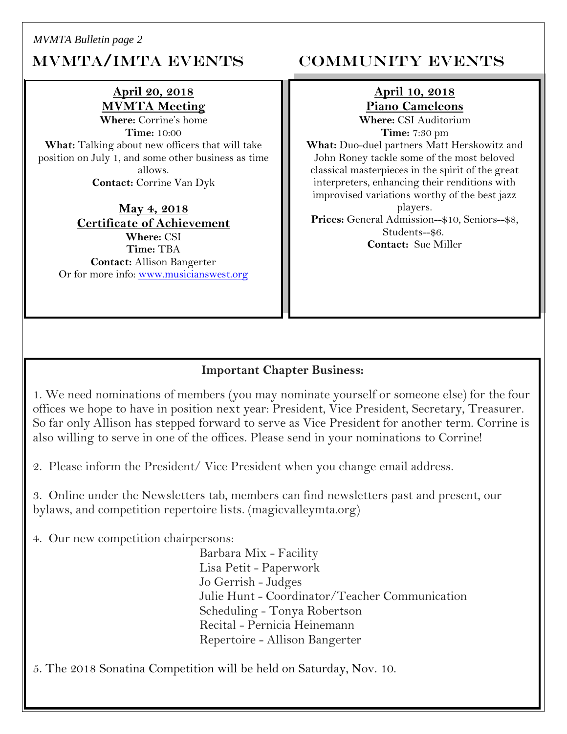*MVMTA Bulletin page 2*

# MVMTA/IMTA EVENTS COMMUNITY EVENTS

# **April 20, 2018 MVMTA Meeting**

**Where:** Corrine's home **Time:** 10:00 **What:** Talking about new officers that will take position on July 1, and some other business as time allows. **Contact:** Corrine Van Dyk

**May 4, 2018 Certificate of Achievement Where:** CSI **Time:** TBA **Contact:** Allison Bangerter Or for more info: [www.musicianswest.org](http://www.musicianswest.org/)

# **April 10, 2018 Piano Cameleons**

**Where:** CSI Auditorium **Time:** 7:30 pm

**What:** Duo-duel partners Matt Herskowitz and John Roney tackle some of the most beloved classical masterpieces in the spirit of the great interpreters, enhancing their renditions with improvised variations worthy of the best jazz players.

**Prices:** General Admission--\$10, Seniors--\$8, Students--\$6. **Contact:** Sue Miller

# **Important Chapter Business:**

1. We need nominations of members (you may nominate yourself or someone else) for the four offices we hope to have in position next year: President, Vice President, Secretary, Treasurer. So far only Allison has stepped forward to serve as Vice President for another term. Corrine is also willing to serve in one of the offices. Please send in your nominations to Corrine!

2. Please inform the President/ Vice President when you change email address.

3. Online under the Newsletters tab, members can find newsletters past and present, our bylaws, and competition repertoire lists. (magicvalleymta.org)

4. Our new competition chairpersons:

Barbara Mix - Facility Lisa Petit - Paperwork Jo Gerrish - Judges Julie Hunt - Coordinator/Teacher Communication Scheduling - Tonya Robertson Recital - Pernicia Heinemann Repertoire - Allison Bangerter

5. The 2018 Sonatina Competition will be held on Saturday, Nov. 10.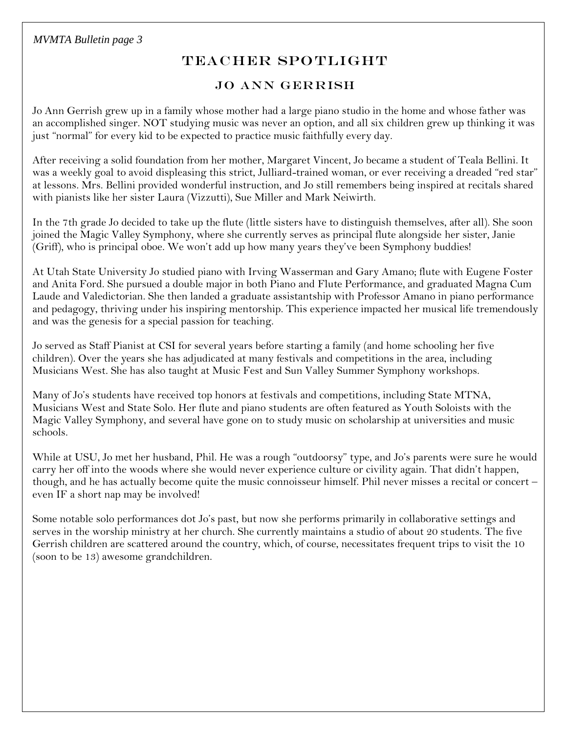# TEACHER SPOTLIGHT

## Jo Ann Gerrish

Jo Ann Gerrish grew up in a family whose mother had a large piano studio in the home and whose father was an accomplished singer. NOT studying music was never an option, and all six children grew up thinking it was just "normal" for every kid to be expected to practice music faithfully every day.

After receiving a solid foundation from her mother, Margaret Vincent, Jo became a student of Teala Bellini. It was a weekly goal to avoid displeasing this strict, Julliard-trained woman, or ever receiving a dreaded "red star" at lessons. Mrs. Bellini provided wonderful instruction, and Jo still remembers being inspired at recitals shared with pianists like her sister Laura (Vizzutti), Sue Miller and Mark Neiwirth.

In the 7th grade Jo decided to take up the flute (little sisters have to distinguish themselves, after all). She soon joined the Magic Valley Symphony, where she currently serves as principal flute alongside her sister, Janie (Griff), who is principal oboe. We won't add up how many years they've been Symphony buddies!

At Utah State University Jo studied piano with Irving Wasserman and Gary Amano; flute with Eugene Foster and Anita Ford. She pursued a double major in both Piano and Flute Performance, and graduated Magna Cum Laude and Valedictorian. She then landed a graduate assistantship with Professor Amano in piano performance and pedagogy, thriving under his inspiring mentorship. This experience impacted her musical life tremendously and was the genesis for a special passion for teaching.

Jo served as Staff Pianist at CSI for several years before starting a family (and home schooling her five children). Over the years she has adjudicated at many festivals and competitions in the area, including Musicians West. She has also taught at Music Fest and Sun Valley Summer Symphony workshops.

Many of Jo's students have received top honors at festivals and competitions, including State MTNA, Musicians West and State Solo. Her flute and piano students are often featured as Youth Soloists with the Magic Valley Symphony, and several have gone on to study music on scholarship at universities and music schools.

While at USU, Jo met her husband, Phil. He was a rough "outdoorsy" type, and Jo's parents were sure he would carry her off into the woods where she would never experience culture or civility again. That didn't happen, though, and he has actually become quite the music connoisseur himself. Phil never misses a recital or concert – even IF a short nap may be involved!

Some notable solo performances dot Jo's past, but now she performs primarily in collaborative settings and serves in the worship ministry at her church. She currently maintains a studio of about 20 students. The five Gerrish children are scattered around the country, which, of course, necessitates frequent trips to visit the 10 (soon to be 13) awesome grandchildren.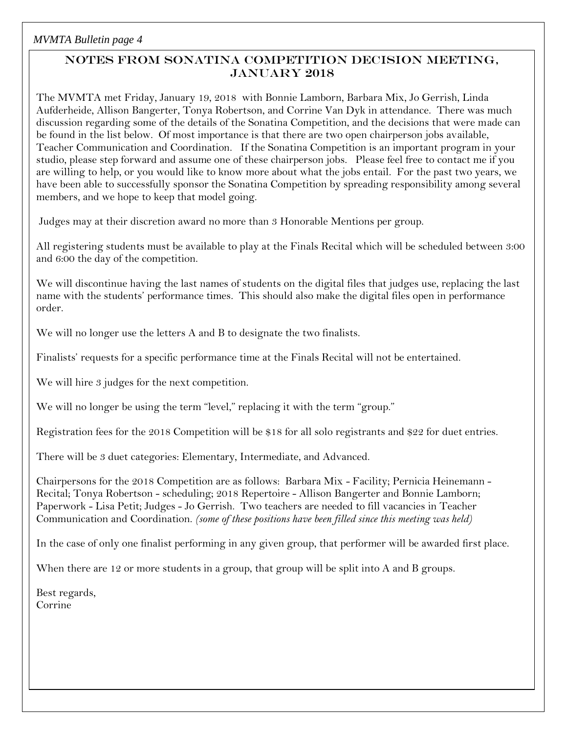# Notes from Sonatina Competition Decision Meeting, January 2018

The MVMTA met Friday, January 19, 2018 with Bonnie Lamborn, Barbara Mix, Jo Gerrish, Linda Aufderheide, Allison Bangerter, Tonya Robertson, and Corrine Van Dyk in attendance. There was much discussion regarding some of the details of the Sonatina Competition, and the decisions that were made can be found in the list below. Of most importance is that there are two open chairperson jobs available, Teacher Communication and Coordination. If the Sonatina Competition is an important program in your studio, please step forward and assume one of these chairperson jobs. Please feel free to contact me if you are willing to help, or you would like to know more about what the jobs entail. For the past two years, we have been able to successfully sponsor the Sonatina Competition by spreading responsibility among several members, and we hope to keep that model going.

Judges may at their discretion award no more than 3 Honorable Mentions per group.

All registering students must be available to play at the Finals Recital which will be scheduled between 3:00 and 6:00 the day of the competition.

We will discontinue having the last names of students on the digital files that judges use, replacing the last name with the students' performance times. This should also make the digital files open in performance order.

We will no longer use the letters A and B to designate the two finalists.

Finalists' requests for a specific performance time at the Finals Recital will not be entertained.

We will hire 3 judges for the next competition.

We will no longer be using the term "level," replacing it with the term "group."

Registration fees for the 2018 Competition will be \$18 for all solo registrants and \$22 for duet entries.

There will be 3 duet categories: Elementary, Intermediate, and Advanced.

Chairpersons for the 2018 Competition are as follows: Barbara Mix - Facility; Pernicia Heinemann - Recital; Tonya Robertson - scheduling; 2018 Repertoire - Allison Bangerter and Bonnie Lamborn; Paperwork - Lisa Petit; Judges - Jo Gerrish. Two teachers are needed to fill vacancies in Teacher Communication and Coordination. *(some of these positions have been filled since this meeting was held)*

In the case of only one finalist performing in any given group, that performer will be awarded first place.

When there are 12 or more students in a group, that group will be split into A and B groups.

Best regards, Corrine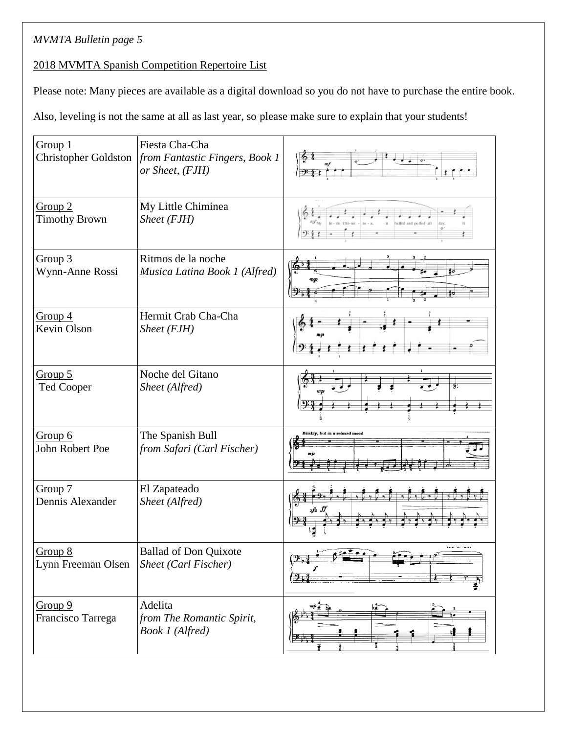# *MVMTA Bulletin page 5*

#### 2018 MVMTA Spanish Competition Repertoire List

Please note: Many pieces are available as a digital download so you do not have to purchase the entire book.

Also, leveling is not the same at all as last year, so please make sure to explain that your students!

| Group 1<br>Christopher Goldston            | Fiesta Cha-Cha<br>from Fantastic Fingers, Book 1<br>or Sheet, (FJH) | 9.4                                        |
|--------------------------------------------|---------------------------------------------------------------------|--------------------------------------------|
| Group <sub>2</sub><br><b>Timothy Brown</b> | My Little Chiminea<br>$Sheet$ (FJH)                                 |                                            |
| Group $3$<br>Wynn-Anne Rossi               | Ritmos de la noche<br>Musica Latina Book 1 (Alfred)                 |                                            |
| Group $4$<br>Kevin Olson                   | Hermit Crab Cha-Cha<br>Sheet (FJH)                                  |                                            |
| Group $5$<br><b>Ted Cooper</b>             | Noche del Gitano<br>Sheet (Alfred)                                  |                                            |
| Group 6<br>John Robert Poe                 | The Spanish Bull<br>from Safari (Carl Fischer)                      | Briskly, but in a relaxed mood             |
| Group 7<br>Dennis Alexander                | El Zapateado<br>Sheet (Alfred)                                      |                                            |
| Group 8<br>Lynn Freeman Olsen              | <b>Ballad of Don Quixote</b><br>Sheet (Carl Fischer)                | والمستود بالمحادث والمنا<br><del>911</del> |
| Group 9<br>Francisco Tarrega               | Adelita<br>from The Romantic Spirit,<br>Book 1 (Alfred)             | $2+$                                       |